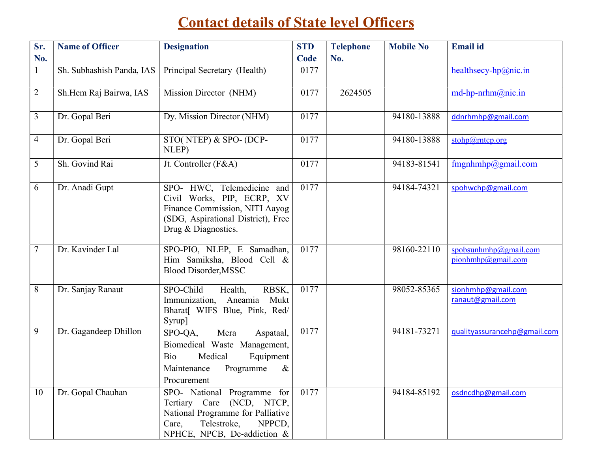## Contact details of State level Officers

| Sr.            | <b>Name of Officer</b>    | <b>Designation</b>                                                                                                                                             | <b>STD</b> | <b>Telephone</b> | <b>Mobile No</b> | <b>Email id</b>                                |
|----------------|---------------------------|----------------------------------------------------------------------------------------------------------------------------------------------------------------|------------|------------------|------------------|------------------------------------------------|
| No.            |                           |                                                                                                                                                                | Code       | No.              |                  |                                                |
| $\mathbf{1}$   | Sh. Subhashish Panda, IAS | Principal Secretary (Health)                                                                                                                                   | 0177       |                  |                  | healthsecy-hp@nic.in                           |
| $\overline{2}$ | Sh.Hem Raj Bairwa, IAS    | Mission Director (NHM)                                                                                                                                         | 0177       | 2624505          |                  | md-hp-nrhm@nic.in                              |
| 3              | Dr. Gopal Beri            | Dy. Mission Director (NHM)                                                                                                                                     | 0177       |                  | 94180-13888      | ddnrhmhp@gmail.com                             |
| $\overline{4}$ | Dr. Gopal Beri            | STO(NTEP) & SPO-(DCP-<br>NLEP)                                                                                                                                 | 0177       |                  | 94180-13888      | stohp@rntcp.org                                |
| 5              | Sh. Govind Rai            | Jt. Controller (F&A)                                                                                                                                           | 0177       |                  | 94183-81541      | fmgnhmhp@gmail.com                             |
| 6              | Dr. Anadi Gupt            | SPO- HWC, Telemedicine and<br>Civil Works, PIP, ECRP, XV<br>Finance Commission, NITI Aayog<br>(SDG, Aspirational District), Free<br>Drug & Diagnostics.        | 0177       |                  | 94184-74321      | spohwchp@gmail.com                             |
| $\overline{7}$ | Dr. Kavinder Lal          | SPO-PIO, NLEP, E Samadhan,<br>Him Samiksha, Blood Cell &<br><b>Blood Disorder, MSSC</b>                                                                        | 0177       |                  | 98160-22110      | $s$ pobsunhmhp@gmail.com<br>pionhmhp@gmail.com |
| 8              | Dr. Sanjay Ranaut         | SPO-Child<br>Health,<br>RBSK,<br>Aneamia<br>Mukt<br>Immunization,<br>Bharat[ WIFS Blue, Pink, Red/<br>Syrup]                                                   | 0177       |                  | 98052-85365      | sionhmhp@gmail.com<br>ranaut@gmail.com         |
| 9              | Dr. Gagandeep Dhillon     | SPO-QA,<br>Mera<br>Aspataal,<br>Biomedical Waste Management,<br>Bio<br>Medical<br>Equipment<br>Programme<br>Maintenance<br>$\&$<br>Procurement                 | 0177       |                  | 94181-73271      | qualityassurancehp@gmail.com                   |
| 10             | Dr. Gopal Chauhan         | SPO- National Programme for<br>Tertiary Care (NCD, NTCP,<br>National Programme for Palliative<br>Telestroke,<br>NPPCD,<br>Care,<br>NPHCE, NPCB, De-addiction & | 0177       |                  | 94184-85192      | osdncdhp@gmail.com                             |